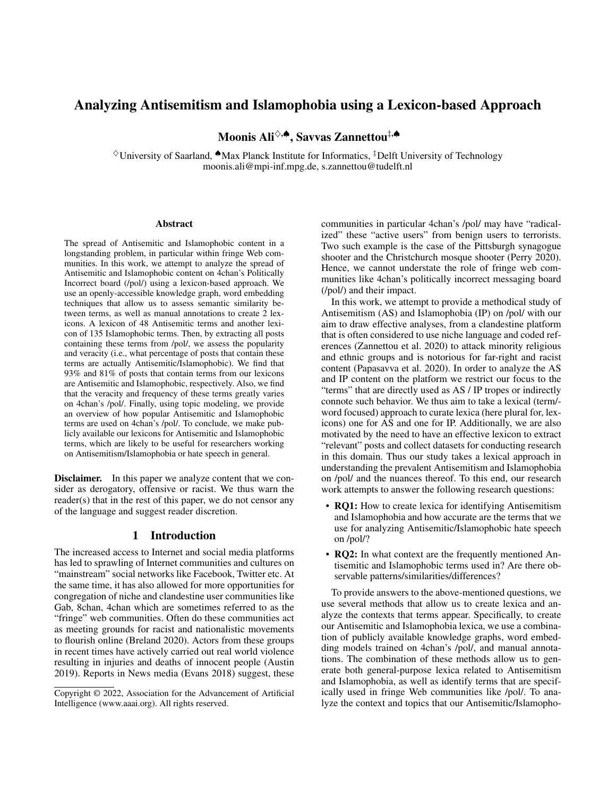# Analyzing Antisemitism and Islamophobia using a Lexicon-based Approach

Moonis Ali♢,♠, Savvas Zannettou‡,♠

♢University of Saarland, ♠Max Planck Institute for Informatics, ‡Delft University of Technology moonis.ali@mpi-inf.mpg.de, s.zannettou@tudelft.nl

#### Abstract

The spread of Antisemitic and Islamophobic content in a longstanding problem, in particular within fringe Web communities. In this work, we attempt to analyze the spread of Antisemitic and Islamophobic content on 4chan's Politically Incorrect board (/pol/) using a lexicon-based approach. We use an openly-accessible knowledge graph, word embedding techniques that allow us to assess semantic similarity between terms, as well as manual annotations to create 2 lexicons. A lexicon of 48 Antisemitic terms and another lexicon of 135 Islamophobic terms. Then, by extracting all posts containing these terms from /pol/, we assess the popularity and veracity (i.e., what percentage of posts that contain these terms are actually Antisemitic/Islamophobic). We find that 93% and 81% of posts that contain terms from our lexicons are Antisemitic and Islamophobic, respectively. Also, we find that the veracity and frequency of these terms greatly varies on 4chan's /pol/. Finally, using topic modeling, we provide an overview of how popular Antisemitic and Islamophobic terms are used on 4chan's /pol/. To conclude, we make publicly available our lexicons for Antisemitic and Islamophobic terms, which are likely to be useful for researchers working on Antisemitism/Islamophobia or hate speech in general.

**Disclaimer.** In this paper we analyze content that we consider as derogatory, offensive or racist. We thus warn the reader(s) that in the rest of this paper, we do not censor any of the language and suggest reader discretion.

#### 1 Introduction

The increased access to Internet and social media platforms has led to sprawling of Internet communities and cultures on "mainstream" social networks like Facebook, Twitter etc. At the same time, it has also allowed for more opportunities for congregation of niche and clandestine user communities like Gab, 8chan, 4chan which are sometimes referred to as the "fringe" web communities. Often do these communities act as meeting grounds for racist and nationalistic movements to flourish online (Breland 2020). Actors from these groups in recent times have actively carried out real world violence resulting in injuries and deaths of innocent people (Austin 2019). Reports in News media (Evans 2018) suggest, these

communities in particular 4chan's /pol/ may have "radicalized" these "active users" from benign users to terrorists. Two such example is the case of the Pittsburgh synagogue shooter and the Christchurch mosque shooter (Perry 2020). Hence, we cannot understate the role of fringe web communities like 4chan's politically incorrect messaging board (/pol/) and their impact.

In this work, we attempt to provide a methodical study of Antisemitism (AS) and Islamophobia (IP) on /pol/ with our aim to draw effective analyses, from a clandestine platform that is often considered to use niche language and coded references (Zannettou et al. 2020) to attack minority religious and ethnic groups and is notorious for far-right and racist content (Papasavva et al. 2020). In order to analyze the AS and IP content on the platform we restrict our focus to the "terms" that are directly used as AS / IP tropes or indirectly connote such behavior. We thus aim to take a lexical (term/ word focused) approach to curate lexica (here plural for, lexicons) one for AS and one for IP. Additionally, we are also motivated by the need to have an effective lexicon to extract "relevant" posts and collect datasets for conducting research in this domain. Thus our study takes a lexical approach in understanding the prevalent Antisemitism and Islamophobia on /pol/ and the nuances thereof. To this end, our research work attempts to answer the following research questions:

- **RQ1:** How to create lexica for identifying Antisemitism and Islamophobia and how accurate are the terms that we use for analyzing Antisemitic/Islamophobic hate speech on /pol/?
- **RQ2:** In what context are the frequently mentioned Antisemitic and Islamophobic terms used in? Are there observable patterns/similarities/differences?

To provide answers to the above-mentioned questions, we use several methods that allow us to create lexica and analyze the contexts that terms appear. Specifically, to create our Antisemitic and Islamophobia lexica, we use a combination of publicly available knowledge graphs, word embedding models trained on 4chan's /pol/, and manual annotations. The combination of these methods allow us to generate both general-purpose lexica related to Antisemitism and Islamophobia, as well as identify terms that are specifically used in fringe Web communities like /pol/. To analyze the context and topics that our Antisemitic/Islamopho-

Copyright © 2022, Association for the Advancement of Artificial Intelligence (www.aaai.org). All rights reserved.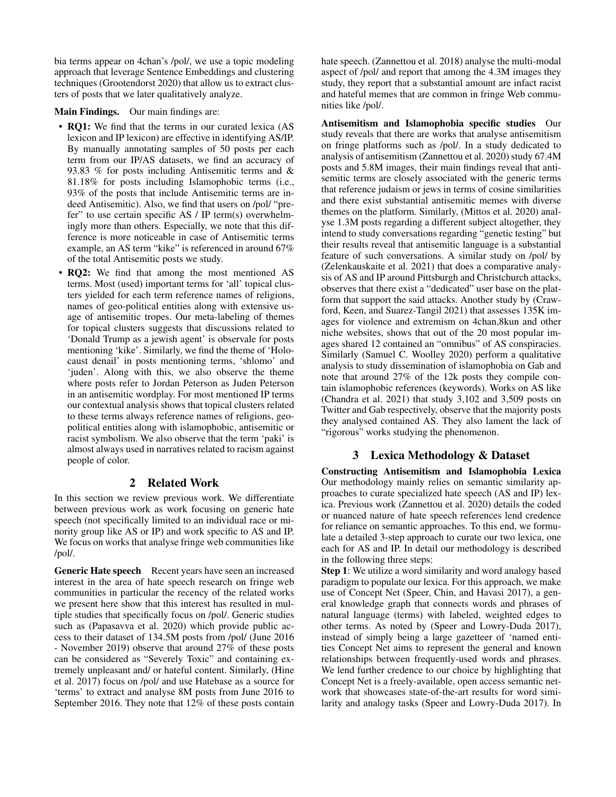bia terms appear on 4chan's /pol/, we use a topic modeling approach that leverage Sentence Embeddings and clustering techniques (Grootendorst 2020) that allow us to extract clusters of posts that we later qualitatively analyze.

Main Findings. Our main findings are:

- RQ1: We find that the terms in our curated lexica (AS lexicon and IP lexicon) are effective in identifying AS/IP. By manually annotating samples of 50 posts per each term from our IP/AS datasets, we find an accuracy of 93.83 % for posts including Antisemitic terms and & 81.18% for posts including Islamophobic terms (i.e., 93% of the posts that include Antisemitic terms are indeed Antisemitic). Also, we find that users on /pol/ "prefer" to use certain specific AS / IP term(s) overwhelmingly more than others. Especially, we note that this difference is more noticeable in case of Antisemitic terms example, an AS term "kike" is referenced in around 67% of the total Antisemitic posts we study.
- RQ2: We find that among the most mentioned AS terms. Most (used) important terms for 'all' topical clusters yielded for each term reference names of religions, names of geo-political entities along with extensive usage of antisemitic tropes. Our meta-labeling of themes for topical clusters suggests that discussions related to 'Donald Trump as a jewish agent' is observale for posts mentioning 'kike'. Similarly, we find the theme of 'Holocaust denail' in posts mentioning terms, 'shlomo' and 'juden'. Along with this, we also observe the theme where posts refer to Jordan Peterson as Juden Peterson in an antisemitic wordplay. For most mentioned IP terms our contextual analysis shows that topical clusters related to these terms always reference names of religions, geopolitical entities along with islamophobic, antisemitic or racist symbolism. We also observe that the term 'paki' is almost always used in narratives related to racism against people of color.

### 2 Related Work

In this section we review previous work. We differentiate between previous work as work focusing on generic hate speech (not specifically limited to an individual race or minority group like AS or IP) and work specific to AS and IP. We focus on works that analyse fringe web communities like /pol/.

Generic Hate speech Recent years have seen an increased interest in the area of hate speech research on fringe web communities in particular the recency of the related works we present here show that this interest has resulted in multiple studies that specifically focus on /pol/. Generic studies such as (Papasavva et al. 2020) which provide public access to their dataset of 134.5M posts from /pol/ (June 2016 - November 2019) observe that around 27% of these posts can be considered as "Severely Toxic" and containing extremely unpleasant and/ or hateful content. Similarly, (Hine et al. 2017) focus on /pol/ and use Hatebase as a source for 'terms' to extract and analyse 8M posts from June 2016 to September 2016. They note that 12% of these posts contain hate speech. (Zannettou et al. 2018) analyse the multi-modal aspect of /pol/ and report that among the 4.3M images they study, they report that a substantial amount are infact racist and hateful memes that are common in fringe Web communities like /pol/.

Antisemitism and Islamophobia specific studies Our study reveals that there are works that analyse antisemitism on fringe platforms such as /pol/. In a study dedicated to analysis of antisemitism (Zannettou et al. 2020) study 67.4M posts and 5.8M images, their main findings reveal that antisemitic terms are closely associated with the generic terms that reference judaism or jews in terms of cosine similarities and there exist substantial antisemitic memes with diverse themes on the platform. Similarly, (Mittos et al. 2020) analyse 1.3M posts regarding a different subject altogether, they intend to study conversations regarding "genetic testing" but their results reveal that antisemitic language is a substantial feature of such conversations. A similar study on /pol/ by (Zelenkauskaite et al. 2021) that does a comparative analysis of AS and IP around Pittsburgh and Christchurch attacks, observes that there exist a "dedicated" user base on the platform that support the said attacks. Another study by (Crawford, Keen, and Suarez-Tangil 2021) that assesses 135K images for violence and extremism on 4chan,8kun and other niche websites, shows that out of the 20 most popular images shared 12 contained an "omnibus" of AS conspiracies. Similarly (Samuel C. Woolley 2020) perform a qualitative analysis to study dissemination of islamophobia on Gab and note that around 27% of the 12k posts they compile contain islamophobic references (keywords). Works on AS like (Chandra et al. 2021) that study 3,102 and 3,509 posts on Twitter and Gab respectively, observe that the majority posts they analysed contained AS. They also lament the lack of "rigorous" works studying the phenomenon.

## 3 Lexica Methodology & Dataset

Constructing Antisemitism and Islamophobia Lexica Our methodology mainly relies on semantic similarity approaches to curate specialized hate speech (AS and IP) lexica. Previous work (Zannettou et al. 2020) details the coded or nuanced nature of hate speech references lend credence for reliance on semantic approaches. To this end, we formulate a detailed 3-step approach to curate our two lexica, one each for AS and IP. In detail our methodology is described in the following three steps:

Step 1: We utilize a word similarity and word analogy based paradigm to populate our lexica. For this approach, we make use of Concept Net (Speer, Chin, and Havasi 2017), a general knowledge graph that connects words and phrases of natural language (terms) with labeled, weighted edges to other terms. As noted by (Speer and Lowry-Duda 2017), instead of simply being a large gazetteer of 'named entities Concept Net aims to represent the general and known relationships between frequently-used words and phrases. We lend further credence to our choice by highlighting that Concept Net is a freely-available, open access semantic network that showcases state-of-the-art results for word similarity and analogy tasks (Speer and Lowry-Duda 2017). In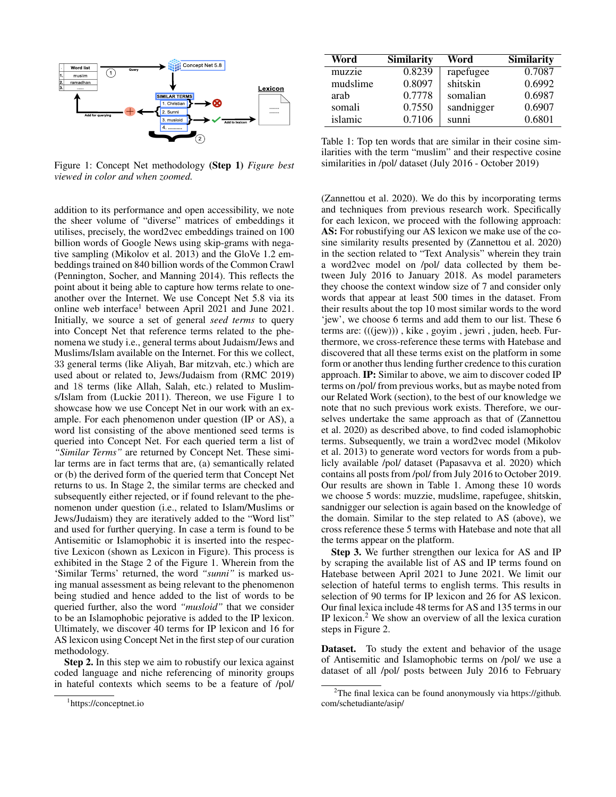

Figure 1: Concept Net methodology (Step 1) *Figure best viewed in color and when zoomed.*

addition to its performance and open accessibility, we note the sheer volume of "diverse" matrices of embeddings it utilises, precisely, the word2vec embeddings trained on 100 billion words of Google News using skip-grams with negative sampling (Mikolov et al. 2013) and the GloVe 1.2 embeddings trained on 840 billion words of the Common Crawl (Pennington, Socher, and Manning 2014). This reflects the point about it being able to capture how terms relate to oneanother over the Internet. We use Concept Net 5.8 via its online web interface<sup>1</sup> between April 2021 and June 2021. Initially, we source a set of general *seed terms* to query into Concept Net that reference terms related to the phenomena we study i.e., general terms about Judaism/Jews and Muslims/Islam available on the Internet. For this we collect, 33 general terms (like Aliyah, Bar mitzvah, etc.) which are used about or related to, Jews/Judaism from (RMC 2019) and 18 terms (like Allah, Salah, etc.) related to Muslims/Islam from (Luckie 2011). Thereon, we use Figure 1 to showcase how we use Concept Net in our work with an example. For each phenomenon under question (IP or AS), a word list consisting of the above mentioned seed terms is queried into Concept Net. For each queried term a list of *"Similar Terms"* are returned by Concept Net. These similar terms are in fact terms that are, (a) semantically related or (b) the derived form of the queried term that Concept Net returns to us. In Stage 2, the similar terms are checked and subsequently either rejected, or if found relevant to the phenomenon under question (i.e., related to Islam/Muslims or Jews/Judaism) they are iteratively added to the "Word list" and used for further querying. In case a term is found to be Antisemitic or Islamophobic it is inserted into the respective Lexicon (shown as Lexicon in Figure). This process is exhibited in the Stage 2 of the Figure 1. Wherein from the 'Similar Terms' returned, the word *"sunni"* is marked using manual assessment as being relevant to the phenomenon being studied and hence added to the list of words to be queried further, also the word *"musloid"* that we consider to be an Islamophobic pejorative is added to the IP lexicon. Ultimately, we discover 40 terms for IP lexicon and 16 for AS lexicon using Concept Net in the first step of our curation methodology.

Step 2. In this step we aim to robustify our lexica against coded language and niche referencing of minority groups in hateful contexts which seems to be a feature of /pol/

| Word     | <b>Similarity</b> | Word       | <b>Similarity</b> |
|----------|-------------------|------------|-------------------|
| muzzie   | 0.8239            | rapefugee  | 0.7087            |
| mudslime | 0.8097            | shitskin   | 0.6992            |
| arab     | 0.7778            | somalian   | 0.6987            |
| somali   | 0.7550            | sandnigger | 0.6907            |
| islamic  | 0.7106            | sunni      | 0.6801            |

Table 1: Top ten words that are similar in their cosine similarities with the term "muslim" and their respective cosine similarities in /pol/ dataset (July 2016 - October 2019)

(Zannettou et al. 2020). We do this by incorporating terms and techniques from previous research work. Specifically for each lexicon, we proceed with the following approach: AS: For robustifying our AS lexicon we make use of the cosine similarity results presented by (Zannettou et al. 2020) in the section related to "Text Analysis" wherein they train a word2vec model on /pol/ data collected by them between July 2016 to January 2018. As model parameters they choose the context window size of 7 and consider only words that appear at least 500 times in the dataset. From their results about the top 10 most similar words to the word 'jew', we choose 6 terms and add them to our list. These 6 terms are: (((jew))) , kike , goyim , jewri , juden, heeb. Furthermore, we cross-reference these terms with Hatebase and discovered that all these terms exist on the platform in some form or another thus lending further credence to this curation approach. IP: Similar to above, we aim to discover coded IP terms on /pol/ from previous works, but as maybe noted from our Related Work (section), to the best of our knowledge we note that no such previous work exists. Therefore, we ourselves undertake the same approach as that of (Zannettou et al. 2020) as described above, to find coded islamophobic terms. Subsequently, we train a word2vec model (Mikolov et al. 2013) to generate word vectors for words from a publicly available /pol/ dataset (Papasavva et al. 2020) which contains all posts from /pol/ from July 2016 to October 2019. Our results are shown in Table 1. Among these 10 words we choose 5 words: muzzie, mudslime, rapefugee, shitskin, sandnigger our selection is again based on the knowledge of the domain. Similar to the step related to AS (above), we cross reference these 5 terms with Hatebase and note that all the terms appear on the platform.

Step 3. We further strengthen our lexica for AS and IP by scraping the available list of AS and IP terms found on Hatebase between April 2021 to June 2021. We limit our selection of hateful terms to english terms. This results in selection of 90 terms for IP lexicon and 26 for AS lexicon. Our final lexica include 48 terms for AS and 135 terms in our IP lexicon.<sup>2</sup> We show an overview of all the lexica curation steps in Figure 2.

Dataset. To study the extent and behavior of the usage of Antisemitic and Islamophobic terms on /pol/ we use a dataset of all /pol/ posts between July 2016 to February

<sup>1</sup> https://conceptnet.io

<sup>&</sup>lt;sup>2</sup>The final lexica can be found anonymously via https://github. com/schetudiante/asip/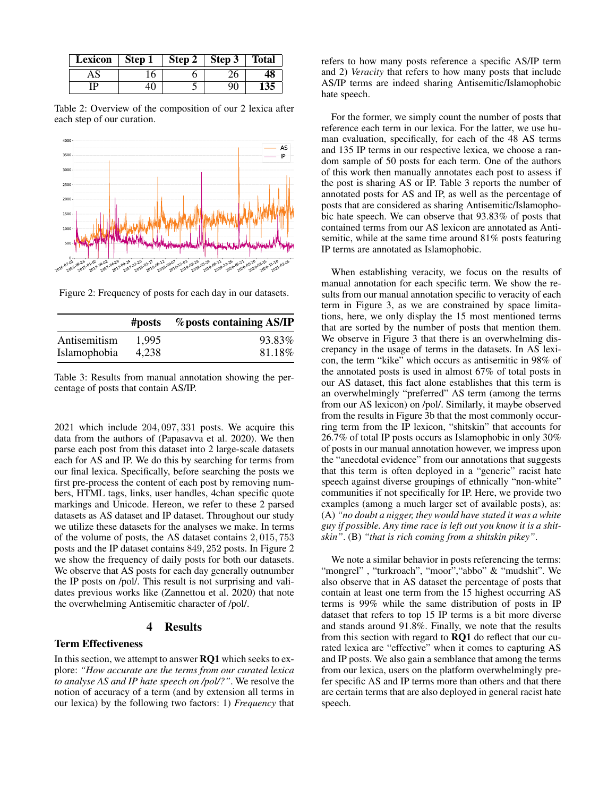| Lexicon | Step 1 | Step 2   Step 3 | <b>Total</b> |
|---------|--------|-----------------|--------------|
|         |        |                 |              |
| ΓD      |        |                 |              |

Table 2: Overview of the composition of our 2 lexica after each step of our curation.



Figure 2: Frequency of posts for each day in our datasets.

|              | #posts | <i>%</i> posts containing AS/IP |
|--------------|--------|---------------------------------|
| Antisemitism | 1.995  | 93.83%                          |
| Islamophobia | 4.238  | 81.18%                          |

Table 3: Results from manual annotation showing the percentage of posts that contain AS/IP.

2021 which include 204, 097, 331 posts. We acquire this data from the authors of (Papasavva et al. 2020). We then parse each post from this dataset into 2 large-scale datasets each for AS and IP. We do this by searching for terms from our final lexica. Specifically, before searching the posts we first pre-process the content of each post by removing numbers, HTML tags, links, user handles, 4chan specific quote markings and Unicode. Hereon, we refer to these 2 parsed datasets as AS dataset and IP dataset. Throughout our study we utilize these datasets for the analyses we make. In terms of the volume of posts, the AS dataset contains 2, 015, 753 posts and the IP dataset contains 849, 252 posts. In Figure 2 we show the frequency of daily posts for both our datasets. We observe that AS posts for each day generally outnumber the IP posts on /pol/. This result is not surprising and validates previous works like (Zannettou et al. 2020) that note the overwhelming Antisemitic character of /pol/.

#### 4 Results

#### Term Effectiveness

In this section, we attempt to answer RQ1 which seeks to explore: *"How accurate are the terms from our curated lexica to analyse AS and IP hate speech on /pol/?"*. We resolve the notion of accuracy of a term (and by extension all terms in our lexica) by the following two factors: 1) *Frequency* that

refers to how many posts reference a specific AS/IP term and 2) *Veracity* that refers to how many posts that include AS/IP terms are indeed sharing Antisemitic/Islamophobic hate speech.

For the former, we simply count the number of posts that reference each term in our lexica. For the latter, we use human evaluation, specifically, for each of the 48 AS terms and 135 IP terms in our respective lexica, we choose a random sample of 50 posts for each term. One of the authors of this work then manually annotates each post to assess if the post is sharing AS or IP. Table 3 reports the number of annotated posts for AS and IP, as well as the percentage of posts that are considered as sharing Antisemitic/Islamophobic hate speech. We can observe that 93.83% of posts that contained terms from our AS lexicon are annotated as Antisemitic, while at the same time around 81% posts featuring IP terms are annotated as Islamophobic.

When establishing veracity, we focus on the results of manual annotation for each specific term. We show the results from our manual annotation specific to veracity of each term in Figure 3, as we are constrained by space limitations, here, we only display the 15 most mentioned terms that are sorted by the number of posts that mention them. We observe in Figure 3 that there is an overwhelming discrepancy in the usage of terms in the datasets. In AS lexicon, the term "kike" which occurs as antisemitic in 98% of the annotated posts is used in almost 67% of total posts in our AS dataset, this fact alone establishes that this term is an overwhelmingly "preferred" AS term (among the terms from our AS lexicon) on /pol/. Similarly, it maybe observed from the results in Figure 3b that the most commonly occurring term from the IP lexicon, "shitskin" that accounts for 26.7% of total IP posts occurs as Islamophobic in only 30% of posts in our manual annotation however, we impress upon the "anecdotal evidence" from our annotations that suggests that this term is often deployed in a "generic" racist hate speech against diverse groupings of ethnically "non-white" communities if not specifically for IP. Here, we provide two examples (among a much larger set of available posts), as: (A) *"no doubt a nigger, they would have stated it was a white guy if possible. Any time race is left out you know it is a shitskin"*. (B) *"that is rich coming from a shitskin pikey"*.

We note a similar behavior in posts referencing the terms: "mongrel", "turkroach", "moor", "abbo" & "mudshit". We also observe that in AS dataset the percentage of posts that contain at least one term from the 15 highest occurring AS terms is 99% while the same distribution of posts in IP dataset that refers to top 15 IP terms is a bit more diverse and stands around 91.8%. Finally, we note that the results from this section with regard to RQ1 do reflect that our curated lexica are "effective" when it comes to capturing AS and IP posts. We also gain a semblance that among the terms from our lexica, users on the platform overwhelmingly prefer specific AS and IP terms more than others and that there are certain terms that are also deployed in general racist hate speech.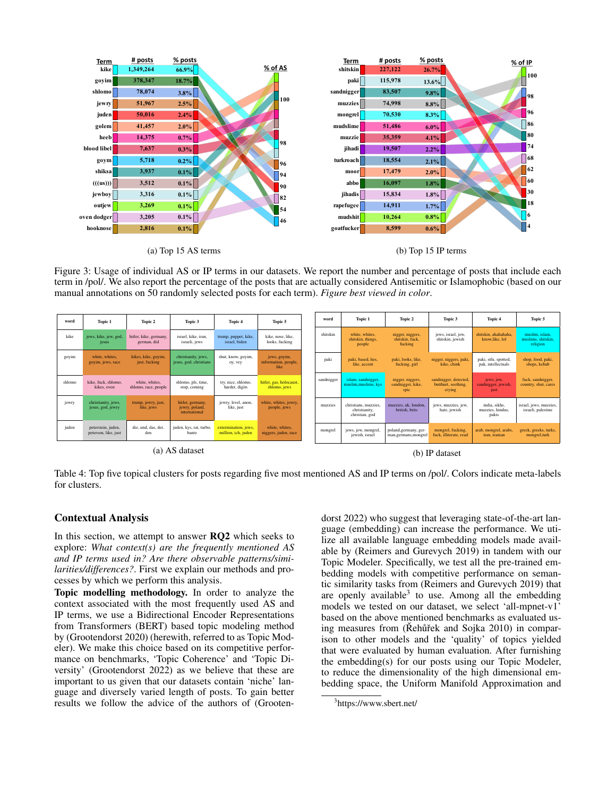

Figure 3: Usage of individual AS or IP terms in our datasets. We report the number and percentage of posts that include each term in /pol/. We also report the percentage of the posts that are actually considered Antisemitic or Islamophobic (based on our manual annotations on 50 randomly selected posts for each term). *Figure best viewed in color*.



Table 4: Top five topical clusters for posts regarding five most mentioned AS and IP terms on /pol/. Colors indicate meta-labels for clusters.

#### Contextual Analysis

In this section, we attempt to answer **RQ2** which seeks to explore: *What context(s) are the frequently mentioned AS and IP terms used in? Are there observable patterns/similarities/differences?*. First we explain our methods and processes by which we perform this analysis.

Topic modelling methodology. In order to analyze the context associated with the most frequently used AS and IP terms, we use a Bidirectional Encoder Representations from Transformers (BERT) based topic modeling method by (Grootendorst 2020) (herewith, referred to as Topic Modeler). We make this choice based on its competitive performance on benchmarks, 'Topic Coherence' and 'Topic Diversity' (Grootendorst 2022) as we believe that these are important to us given that our datasets contain 'niche' language and diversely varied length of posts. To gain better results we follow the advice of the authors of (Grooten-

dorst 2022) who suggest that leveraging state-of-the-art language (embedding) can increase the performance. We utilize all available language embedding models made available by (Reimers and Gurevych 2019) in tandem with our Topic Modeler. Specifically, we test all the pre-trained embedding models with competitive performance on semantic similarity tasks from (Reimers and Gurevych 2019) that are openly available<sup>3</sup> to use. Among all the embedding models we tested on our dataset, we select 'all-mpnet-v1' based on the above mentioned benchmarks as evaluated using measures from (Rehũřek and Sojka 2010) in comparison to other models and the 'quality' of topics yielded that were evaluated by human evaluation. After furnishing the embedding(s) for our posts using our Topic Modeler, to reduce the dimensionality of the high dimensional embedding space, the Uniform Manifold Approximation and

<sup>3</sup> https://www.sbert.net/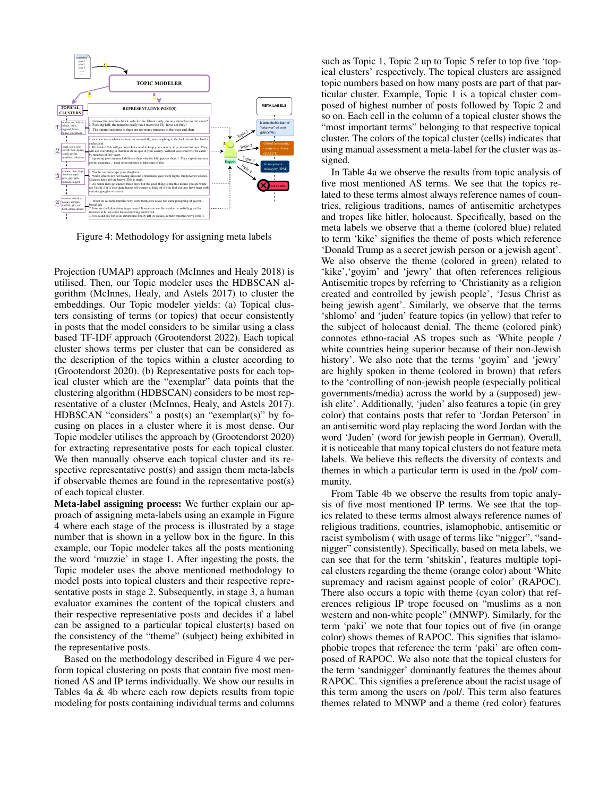

Figure 4: Methodology for assigning meta labels

Projection (UMAP) approach (McInnes and Healy 2018) is utilised. Then, our Topic modeler uses the HDBSCAN algorithm (McInnes, Healy, and Astels 2017) to cluster the embeddings. Our Topic modeler yields: (a) Topical clusters consisting of terms (or topics) that occur consistently in posts that the model considers to be similar using a class based TF-IDF approach (Grootendorst 2022). Each topical cluster shows terms per cluster that can be considered as the description of the topics within a cluster according to (Grootendorst 2020). (b) Representative posts for each topical cluster which are the "exemplar" data points that the clustering algorithm (HDBSCAN) considers to be most representative of a cluster (McInnes, Healy, and Astels 2017). HDBSCAN "considers" a post(s) an "exemplar(s)" by focusing on places in a cluster where it is most dense. Our Topic modeler utilises the approach by (Grootendorst 2020) for extracting representative posts for each topical cluster. We then manually observe each topical cluster and its respective representative post(s) and assign them meta-labels if observable themes are found in the representative post(s) of each topical cluster.

Meta-label assigning process: We further explain our approach of assigning meta-labels using an example in Figure 4 where each stage of the process is illustrated by a stage number that is shown in a yellow box in the figure. In this example, our Topic modeler takes all the posts mentioning the word 'muzzie' in stage 1. After ingesting the posts, the Topic modeler uses the above mentioned methodology to model posts into topical clusters and their respective representative posts in stage 2. Subsequently, in stage 3, a human evaluator examines the content of the topical clusters and their respective representative posts and decides if a label can be assigned to a particular topical cluster(s) based on the consistency of the "theme" (subject) being exhibited in the representative posts.

Based on the methodology described in Figure 4 we perform topical clustering on posts that contain five most mentioned AS and IP terms individually. We show our results in Tables 4a & 4b where each row depicts results from topic modeling for posts containing individual terms and columns

such as Topic 1, Topic 2 up to Topic 5 refer to top five 'topical clusters' respectively. The topical clusters are assigned topic numbers based on how many posts are part of that particular cluster. Example, Topic 1 is a topical cluster composed of highest number of posts followed by Topic 2 and so on. Each cell in the column of a topical cluster shows the "most important terms" belonging to that respective topical cluster. The colors of the topical cluster (cells) indicates that using manual assessment a meta-label for the cluster was assigned.

In Table 4a we observe the results from topic analysis of five most mentioned AS terms. We see that the topics related to these terms almost always reference names of countries, religious traditions, names of antisemitic archetypes and tropes like hitler, holocaust. Specifically, based on the meta labels we observe that a theme (colored blue) related to term 'kike' signifies the theme of posts which reference 'Donald Trump as a secret jewish person or a jewish agent'. We also observe the theme (colored in green) related to 'kike','goyim' and 'jewry' that often references religious Antisemitic tropes by referring to 'Christianity as a religion created and controlled by jewish people', 'Jesus Christ as being jewish agent'. Similarly, we observe that the terms 'shlomo' and 'juden' feature topics (in yellow) that refer to the subject of holocaust denial. The theme (colored pink) connotes ethno-racial AS tropes such as 'White people / white countries being superior because of their non-Jewish history'. We also note that the terms 'goyim' and 'jewry' are highly spoken in theme (colored in brown) that refers to the 'controlling of non-jewish people (especially political governments/media) across the world by a (supposed) jewish elite'. Additionally, 'juden' also features a topic (in grey color) that contains posts that refer to 'Jordan Peterson' in an antisemitic word play replacing the word Jordan with the word 'Juden' (word for jewish people in German). Overall, it is noticeable that many topical clusters do not feature meta labels. We believe this reflects the diversity of contexts and themes in which a particular term is used in the /pol/ community.

From Table 4b we observe the results from topic analysis of five most mentioned IP terms. We see that the topics related to these terms almost always reference names of religious traditions, countries, islamophobic, antisemitic or racist symbolism ( with usage of terms like "nigger", "sandnigger" consistently). Specifically, based on meta labels, we can see that for the term 'shitskin', features multiple topical clusters regarding the theme (orange color) about 'White supremacy and racism against people of color' (RAPOC). There also occurs a topic with theme (cyan color) that references religious IP trope focused on "muslims as a non western and non-white people" (MNWP). Similarly, for the term 'paki' we note that four topics out of five (in orange color) shows themes of RAPOC. This signifies that islamophobic tropes that reference the term 'paki' are often composed of RAPOC. We also note that the topical clusters for the term 'sandnigger' dominantly features the themes about RAPOC. This signifies a preference about the racist usage of this term among the users on /pol/. This term also features themes related to MNWP and a theme (red color) features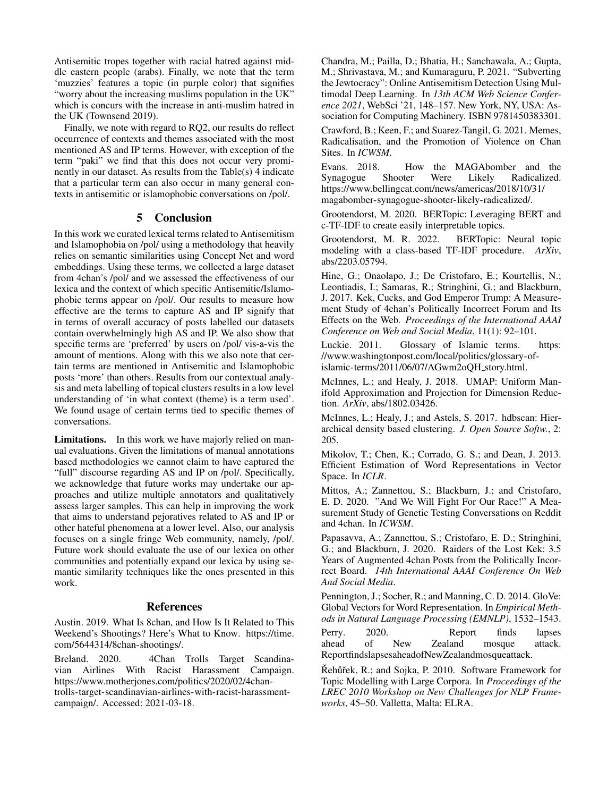Antisemitic tropes together with racial hatred against middle eastern people (arabs). Finally, we note that the term 'muzzies' features a topic (in purple color) that signifies "worry about the increasing muslims population in the UK" which is concurs with the increase in anti-muslim hatred in the UK (Townsend 2019).

Finally, we note with regard to RQ2, our results do reflect occurrence of contexts and themes associated with the most mentioned AS and IP terms. However, with exception of the term "paki" we find that this does not occur very prominently in our dataset. As results from the Table(s) 4 indicate that a particular term can also occur in many general contexts in antisemitic or islamophobic conversations on /pol/.

#### 5 Conclusion

In this work we curated lexical terms related to Antisemitism and Islamophobia on /pol/ using a methodology that heavily relies on semantic similarities using Concept Net and word embeddings. Using these terms, we collected a large dataset from 4chan's /pol/ and we assessed the effectiveness of our lexica and the context of which specific Antisemitic/Islamophobic terms appear on /pol/. Our results to measure how effective are the terms to capture AS and IP signify that in terms of overall accuracy of posts labelled our datasets contain overwhelmingly high AS and IP. We also show that specific terms are 'preferred' by users on /pol/ vis-a-vis the amount of mentions. Along with this we also note that certain terms are mentioned in Antisemitic and Islamophobic posts 'more' than others. Results from our contextual analysis and meta labelling of topical clusters results in a low level understanding of 'in what context (theme) is a term used'. We found usage of certain terms tied to specific themes of conversations.

Limitations. In this work we have majorly relied on manual evaluations. Given the limitations of manual annotations based methodologies we cannot claim to have captured the "full" discourse regarding AS and IP on /pol/. Specifically, we acknowledge that future works may undertake our approaches and utilize multiple annotators and qualitatively assess larger samples. This can help in improving the work that aims to understand pejoratives related to AS and IP or other hateful phenomena at a lower level. Also, our analysis focuses on a single fringe Web community, namely, /pol/. Future work should evaluate the use of our lexica on other communities and potentially expand our lexica by using semantic similarity techniques like the ones presented in this work.

#### **References**

Austin. 2019. What Is 8chan, and How Is It Related to This Weekend's Shootings? Here's What to Know. https://time. com/5644314/8chan-shootings/.

Breland. 2020. 4Chan Trolls Target Scandinavian Airlines With Racist Harassment Campaign. https://www.motherjones.com/politics/2020/02/4chantrolls-target-scandinavian-airlines-with-racist-harassmentcampaign/. Accessed: 2021-03-18.

Chandra, M.; Pailla, D.; Bhatia, H.; Sanchawala, A.; Gupta, M.; Shrivastava, M.; and Kumaraguru, P. 2021. "Subverting the Jewtocracy": Online Antisemitism Detection Using Multimodal Deep Learning. In *13th ACM Web Science Conference 2021*, WebSci '21, 148–157. New York, NY, USA: Association for Computing Machinery. ISBN 9781450383301.

Crawford, B.; Keen, F.; and Suarez-Tangil, G. 2021. Memes, Radicalisation, and the Promotion of Violence on Chan Sites. In *ICWSM*.

Evans. 2018. How the MAGAbomber and the Synagogue Shooter Were Likely Radicalized. https://www.bellingcat.com/news/americas/2018/10/31/ magabomber-synagogue-shooter-likely-radicalized/.

Grootendorst, M. 2020. BERTopic: Leveraging BERT and c-TF-IDF to create easily interpretable topics.

Grootendorst, M. R. 2022. BERTopic: Neural topic modeling with a class-based TF-IDF procedure. *ArXiv*, abs/2203.05794.

Hine, G.; Onaolapo, J.; De Cristofaro, E.; Kourtellis, N.; Leontiadis, I.; Samaras, R.; Stringhini, G.; and Blackburn, J. 2017. Kek, Cucks, and God Emperor Trump: A Measurement Study of 4chan's Politically Incorrect Forum and Its Effects on the Web. *Proceedings of the International AAAI Conference on Web and Social Media*, 11(1): 92–101.

Luckie. 2011. Glossary of Islamic terms. https: //www.washingtonpost.com/local/politics/glossary-ofislamic-terms/2011/06/07/AGwm2oQH story.html.

McInnes, L.; and Healy, J. 2018. UMAP: Uniform Manifold Approximation and Projection for Dimension Reduction. *ArXiv*, abs/1802.03426.

McInnes, L.; Healy, J.; and Astels, S. 2017. hdbscan: Hierarchical density based clustering. *J. Open Source Softw.*, 2: 205.

Mikolov, T.; Chen, K.; Corrado, G. S.; and Dean, J. 2013. Efficient Estimation of Word Representations in Vector Space. In *ICLR*.

Mittos, A.; Zannettou, S.; Blackburn, J.; and Cristofaro, E. D. 2020. "And We Will Fight For Our Race!" A Measurement Study of Genetic Testing Conversations on Reddit and 4chan. In *ICWSM*.

Papasavva, A.; Zannettou, S.; Cristofaro, E. D.; Stringhini, G.; and Blackburn, J. 2020. Raiders of the Lost Kek: 3.5 Years of Augmented 4chan Posts from the Politically Incorrect Board. *14th International AAAI Conference On Web And Social Media*.

Pennington, J.; Socher, R.; and Manning, C. D. 2014. GloVe: Global Vectors for Word Representation. In *Empirical Methods in Natural Language Processing (EMNLP)*, 1532–1543.

Perry. 2020. Report finds lapses ahead of New Zealand mosque attack. ReportfindslapsesaheadofNewZealandmosqueattack.

Řehůřek, R.; and Sojka, P. 2010. Software Framework for Topic Modelling with Large Corpora. In *Proceedings of the LREC 2010 Workshop on New Challenges for NLP Frameworks*, 45–50. Valletta, Malta: ELRA.